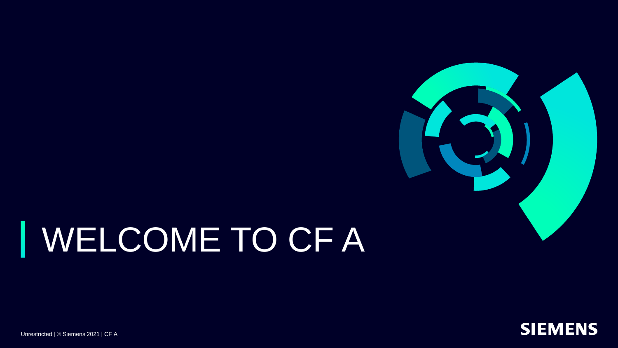

### WELCOME TO CF A ı



Unrestricted | © Siemens 2021 | CF A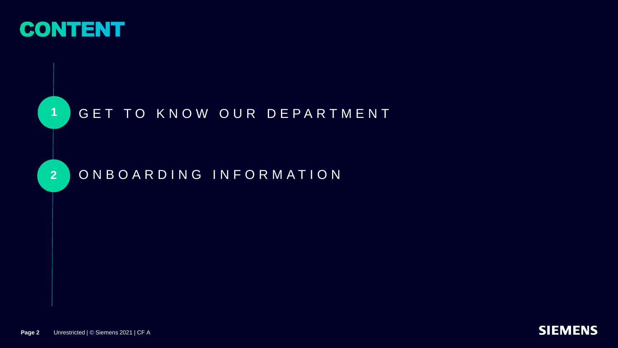

**2**

### 1 GET TO KNOW OUR DEPARTMENT

O N B O A R D I N G I N F O R M A T I O N

**Page 2** Unrestricted | © Siemens 2021 | CF A

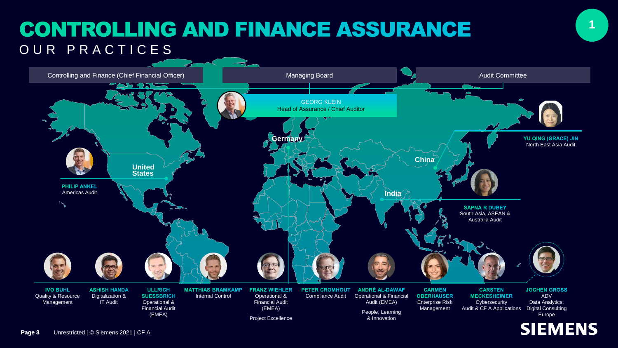## **CONTROLLING AND FINANCE ASSURANCE** OUR PRACTICES

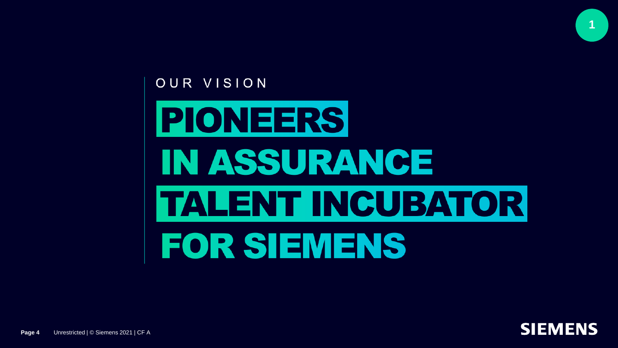

![](_page_3_Picture_1.jpeg)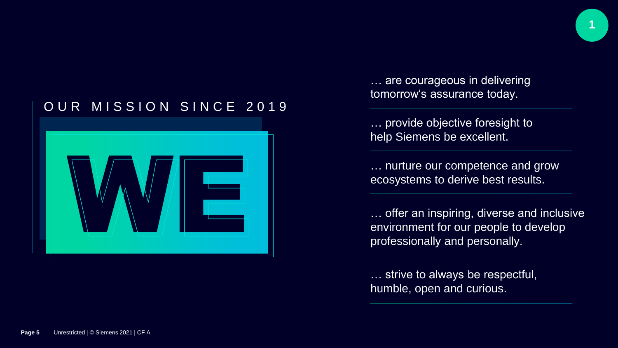![](_page_4_Picture_0.jpeg)

### OUR MISSION SINCE 2019

![](_page_4_Picture_2.jpeg)

… are courageous in delivering tomorrow's assurance today.

… provide objective foresight to help Siemens be excellent.

… nurture our competence and grow ecosystems to derive best results.

… offer an inspiring, diverse and inclusive environment for our people to develop professionally and personally.

… strive to always be respectful, humble, open and curious.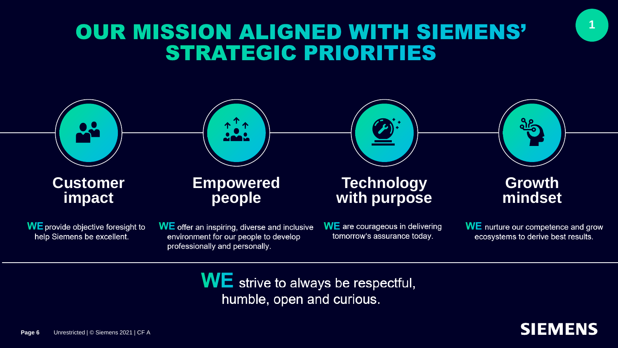## **OUR MISSION ALIGNED WITH SIEMENS' STRATEGIC PRIORITIES**

![](_page_5_Figure_1.jpeg)

 $WE$  strive to always be respectful, humble, open and curious.

![](_page_5_Picture_3.jpeg)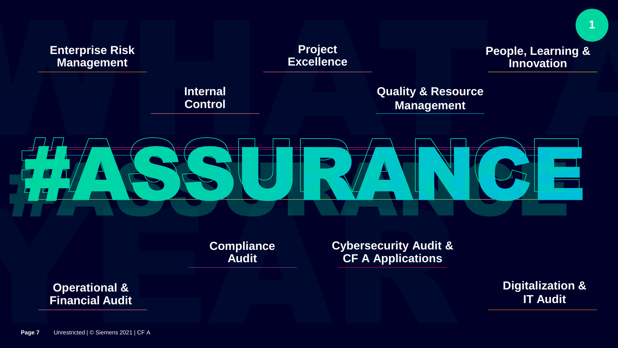![](_page_6_Figure_0.jpeg)

**Cybersecurity Audit & CF A Applications**

**Compliance Audit**

**Operational & Financial Audit**  **Digitalization & IT Audit**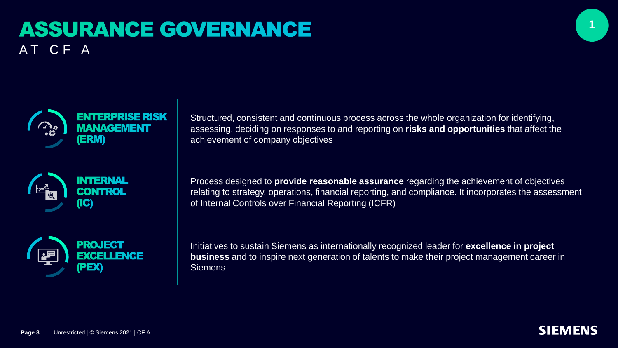## **ASSURANCE GOVERNANCE** AT CF A

![](_page_7_Picture_1.jpeg)

![](_page_7_Picture_2.jpeg)

![](_page_7_Picture_3.jpeg)

![](_page_7_Picture_4.jpeg)

Structured, consistent and continuous process across the whole organization for identifying, assessing, deciding on responses to and reporting on **risks and opportunities** that affect the achievement of company objectives

Process designed to **provide reasonable assurance** regarding the achievement of objectives relating to strategy, operations, financial reporting, and compliance. It incorporates the assessment of Internal Controls over Financial Reporting (ICFR)

Initiatives to sustain Siemens as internationally recognized leader for **excellence in project business** and to inspire next generation of talents to make their project management career in **Siemens** 

![](_page_7_Picture_9.jpeg)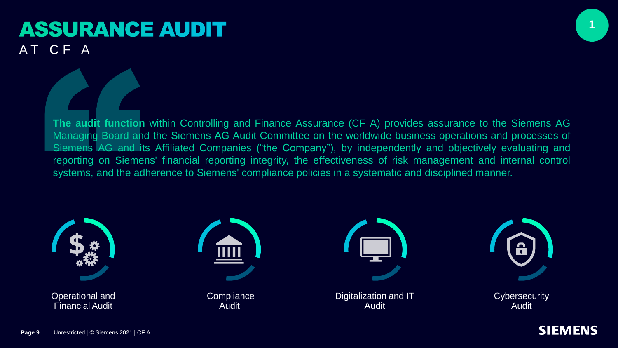### **ASSURANCE AUDIT** AT CF A

**1**

**The audit function** within Controlling and Finance Assurance (CF A) provides assurance to the Siemens AG Managing Board and the Siemens AG Audit Committee on the worldwide business operations and processes of Siemens AG and its Affiliated Companies ("the Company"), by independently and objectively evaluating and reporting on Siemens' financial reporting integrity, the effectiveness of risk management and internal control systems, and the adherence to Siemens' compliance policies in a systematic and disciplined manner.

![](_page_8_Figure_3.jpeg)

![](_page_8_Picture_5.jpeg)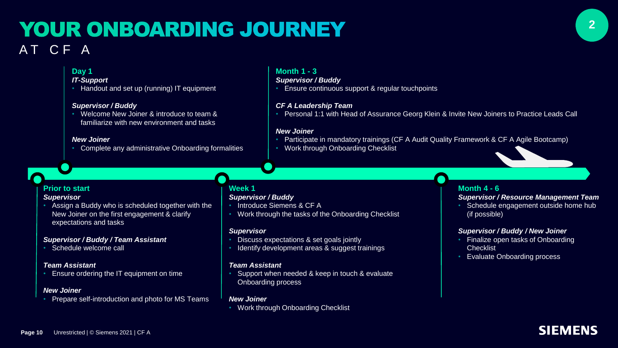### YOUR ONBOARDING JOURNEY AT CF A

#### **Day 1**

#### *IT-Support*

• Handout and set up (running) IT equipment

#### *Supervisor / Buddy*

• Welcome New Joiner & introduce to team & familiarize with new environment and tasks

#### *New Joiner*

• Complete any administrative Onboarding formalities

#### **Month 1 - 3**

#### *Supervisor / Buddy*

• Ensure continuous support & regular touchpoints

#### *CF A Leadership Team*

• Personal 1:1 with Head of Assurance Georg Klein & Invite New Joiners to Practice Leads Call

#### *New Joiner*

- Participate in mandatory trainings (CF A Audit Quality Framework & CF A Agile Bootcamp)
- Work through Onboarding Checklist

#### **Prior to start**

#### *Supervisor*

• Assign a Buddy who is scheduled together with the New Joiner on the first engagement & clarify expectations and tasks

#### *Supervisor / Buddy / Team Assistant*

Schedule welcome call

#### *Team Assistant*

**Ensure ordering the IT equipment on time** 

#### *New Joiner*

• Prepare self-introduction and photo for MS Teams

#### **Week 1**

#### *Supervisor / Buddy*

- Introduce Siemens & CF A
- Work through the tasks of the Onboarding Checklist

#### *Supervisor*

- Discuss expectations & set goals jointly
- Identify development areas & suggest trainings

#### *Team Assistant*

Support when needed & keep in touch & evaluate Onboarding process

#### *New Joiner*

• Work through Onboarding Checklist

#### **Month 4 - 6**

#### *Supervisor / Resource Management Team*

• Schedule engagement outside home hub (if possible)

#### *Supervisor / Buddy / New Joiner*

- Finalize open tasks of Onboarding **Checklist**
- Evaluate Onboarding process

![](_page_9_Picture_43.jpeg)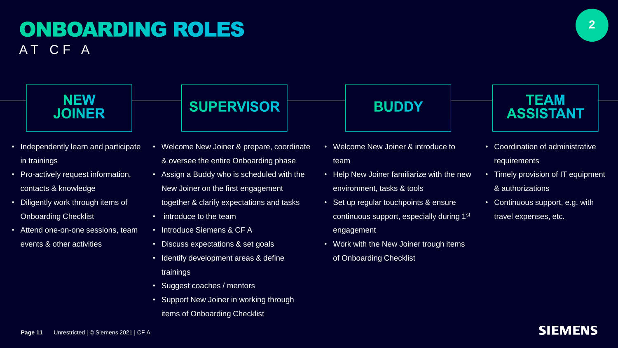### **ONBOARDING ROLES** AT CF A

![](_page_10_Picture_1.jpeg)

### **NEW JOINER**

- Independently learn and participate in trainings
- Pro-actively request information, contacts & knowledge
- Diligently work through items of Onboarding Checklist
- Attend one-on-one sessions, team events & other activities

## **SUPERVISOR**

- Welcome New Joiner & prepare, coordinate & oversee the entire Onboarding phase
- Assign a Buddy who is scheduled with the New Joiner on the first engagement
- together & clarify expectations and tasks
- introduce to the team
- Introduce Siemens & CF A
- Discuss expectations & set goals
- Identify development areas & define trainings
- Suggest coaches / mentors
- Support New Joiner in working through items of Onboarding Checklist

# **BUDDY**

- Welcome New Joiner & introduce to team
- Help New Joiner familiarize with the new environment, tasks & tools
- Set up regular touchpoints & ensure continuous support, especially during 1st engagement
- Work with the New Joiner trough items of Onboarding Checklist

### **TEAM ASSISTANT**

- Coordination of administrative requirements
- Timely provision of IT equipment & authorizations
- Continuous support, e.g. with travel expenses, etc.

**SIEMENS** 

![](_page_10_Picture_26.jpeg)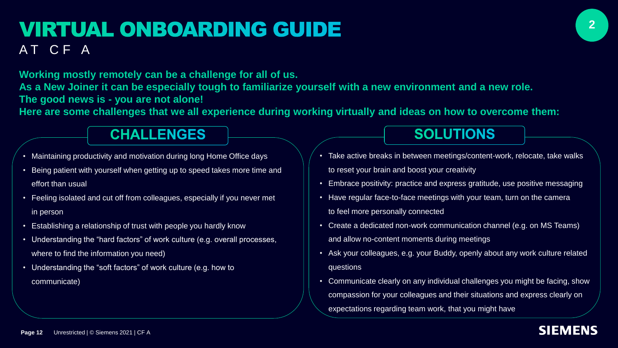### **VIRTUAL ONBOARDING GUIDE** AT CF A

**Working mostly remotely can be a challenge for all of us.**

**As a New Joiner it can be especially tough to familiarize yourself with a new environment and a new role. The good news is - you are not alone!** 

**Here are some challenges that we all experience during working virtually and ideas on how to overcome them:** 

### **CHALLENGES**

- Maintaining productivity and motivation during long Home Office days
- Being patient with yourself when getting up to speed takes more time and effort than usual
- Feeling isolated and cut off from colleagues, especially if you never met in person
- Establishing a relationship of trust with people you hardly know
- Understanding the "hard factors" of work culture (e.g. overall processes, where to find the information you need)
- Understanding the "soft factors" of work culture (e.g. how to communicate)

## • Take active breaks in between meetings/content-work, relocate, take walks

**SOLUTIONS** 

- Embrace positivity: practice and express gratitude, use positive messaging
- Have regular face-to-face meetings with your team, turn on the camera to feel more personally connected

to reset your brain and boost your creativity

- Create a dedicated non-work communication channel (e.g. on MS Teams) and allow no-content moments during meetings
- Ask your colleagues, e.g. your Buddy, openly about any work culture related questions
- Communicate clearly on any individual challenges you might be facing, show compassion for your colleagues and their situations and express clearly on expectations regarding team work, that you might have

**SIEMENS**